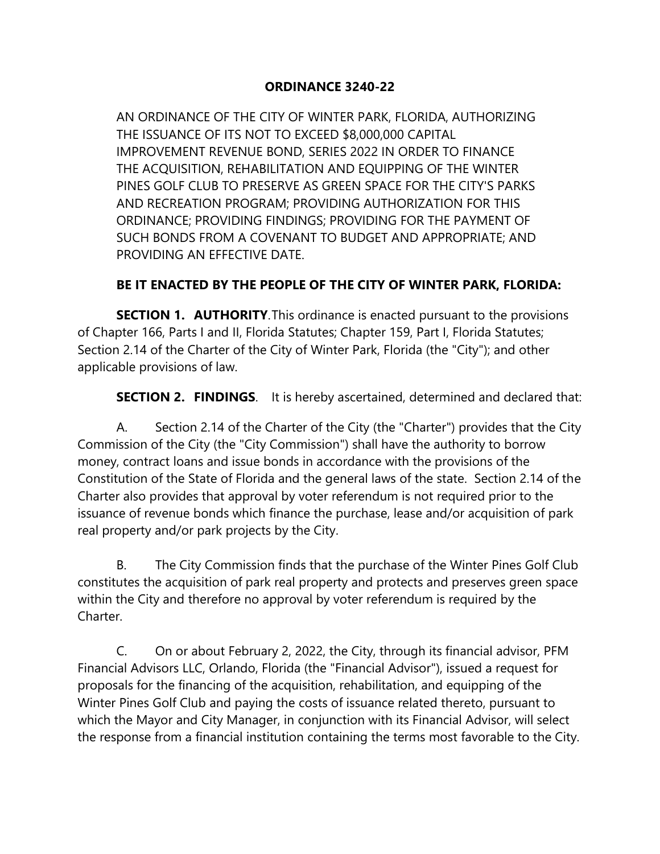## **ORDINANCE 3240-22**

AN ORDINANCE OF THE CITY OF WINTER PARK, FLORIDA, AUTHORIZING THE ISSUANCE OF ITS NOT TO EXCEED \$8,000,000 CAPITAL IMPROVEMENT REVENUE BOND, SERIES 2022 IN ORDER TO FINANCE THE ACQUISITION, REHABILITATION AND EQUIPPING OF THE WINTER PINES GOLF CLUB TO PRESERVE AS GREEN SPACE FOR THE CITY'S PARKS AND RECREATION PROGRAM; PROVIDING AUTHORIZATION FOR THIS ORDINANCE; PROVIDING FINDINGS; PROVIDING FOR THE PAYMENT OF SUCH BONDS FROM A COVENANT TO BUDGET AND APPROPRIATE; AND PROVIDING AN EFFECTIVE DATE.

## **BE IT ENACTED BY THE PEOPLE OF THE CITY OF WINTER PARK, FLORIDA:**

**SECTION 1. AUTHORITY**.This ordinance is enacted pursuant to the provisions of Chapter 166, Parts I and II, Florida Statutes; Chapter 159, Part I, Florida Statutes; Section 2.14 of the Charter of the City of Winter Park, Florida (the "City"); and other applicable provisions of law.

**SECTION 2. FINDINGS**. It is hereby ascertained, determined and declared that:

A. Section 2.14 of the Charter of the City (the "Charter") provides that the City Commission of the City (the "City Commission") shall have the authority to borrow money, contract loans and issue bonds in accordance with the provisions of the Constitution of the State of Florida and the general laws of the state. Section 2.14 of the Charter also provides that approval by voter referendum is not required prior to the issuance of revenue bonds which finance the purchase, lease and/or acquisition of park real property and/or park projects by the City.

B. The City Commission finds that the purchase of the Winter Pines Golf Club constitutes the acquisition of park real property and protects and preserves green space within the City and therefore no approval by voter referendum is required by the Charter.

C. On or about February 2, 2022, the City, through its financial advisor, PFM Financial Advisors LLC, Orlando, Florida (the "Financial Advisor"), issued a request for proposals for the financing of the acquisition, rehabilitation, and equipping of the Winter Pines Golf Club and paying the costs of issuance related thereto, pursuant to which the Mayor and City Manager, in conjunction with its Financial Advisor, will select the response from a financial institution containing the terms most favorable to the City.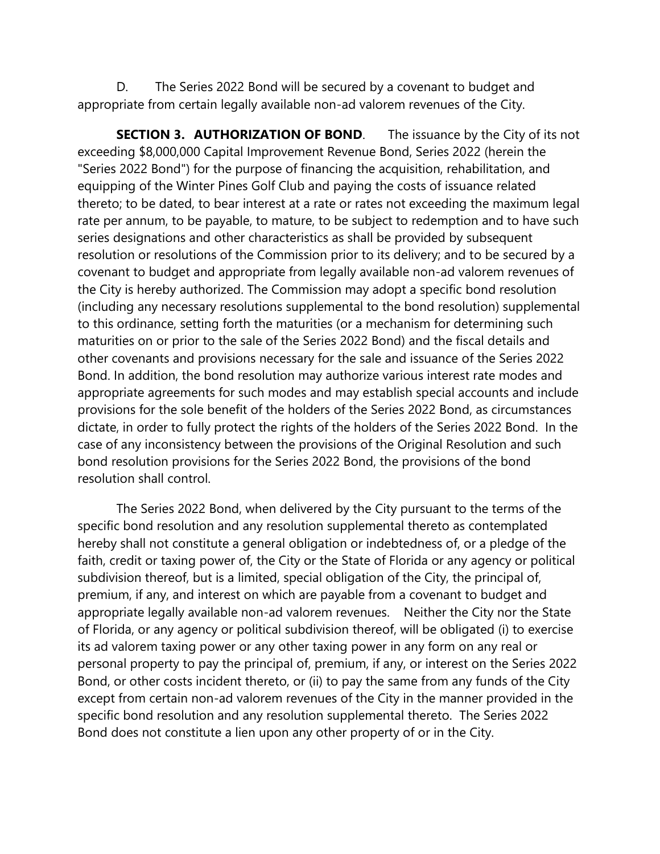D. The Series 2022 Bond will be secured by a covenant to budget and appropriate from certain legally available non-ad valorem revenues of the City.

**SECTION 3. AUTHORIZATION OF BOND**. The issuance by the City of its not exceeding \$8,000,000 Capital Improvement Revenue Bond, Series 2022 (herein the "Series 2022 Bond") for the purpose of financing the acquisition, rehabilitation, and equipping of the Winter Pines Golf Club and paying the costs of issuance related thereto; to be dated, to bear interest at a rate or rates not exceeding the maximum legal rate per annum, to be payable, to mature, to be subject to redemption and to have such series designations and other characteristics as shall be provided by subsequent resolution or resolutions of the Commission prior to its delivery; and to be secured by a covenant to budget and appropriate from legally available non-ad valorem revenues of the City is hereby authorized. The Commission may adopt a specific bond resolution (including any necessary resolutions supplemental to the bond resolution) supplemental to this ordinance, setting forth the maturities (or a mechanism for determining such maturities on or prior to the sale of the Series 2022 Bond) and the fiscal details and other covenants and provisions necessary for the sale and issuance of the Series 2022 Bond. In addition, the bond resolution may authorize various interest rate modes and appropriate agreements for such modes and may establish special accounts and include provisions for the sole benefit of the holders of the Series 2022 Bond, as circumstances dictate, in order to fully protect the rights of the holders of the Series 2022 Bond. In the case of any inconsistency between the provisions of the Original Resolution and such bond resolution provisions for the Series 2022 Bond, the provisions of the bond resolution shall control.

The Series 2022 Bond, when delivered by the City pursuant to the terms of the specific bond resolution and any resolution supplemental thereto as contemplated hereby shall not constitute a general obligation or indebtedness of, or a pledge of the faith, credit or taxing power of, the City or the State of Florida or any agency or political subdivision thereof, but is a limited, special obligation of the City, the principal of, premium, if any, and interest on which are payable from a covenant to budget and appropriate legally available non-ad valorem revenues. Neither the City nor the State of Florida, or any agency or political subdivision thereof, will be obligated (i) to exercise its ad valorem taxing power or any other taxing power in any form on any real or personal property to pay the principal of, premium, if any, or interest on the Series 2022 Bond, or other costs incident thereto, or (ii) to pay the same from any funds of the City except from certain non-ad valorem revenues of the City in the manner provided in the specific bond resolution and any resolution supplemental thereto. The Series 2022 Bond does not constitute a lien upon any other property of or in the City.